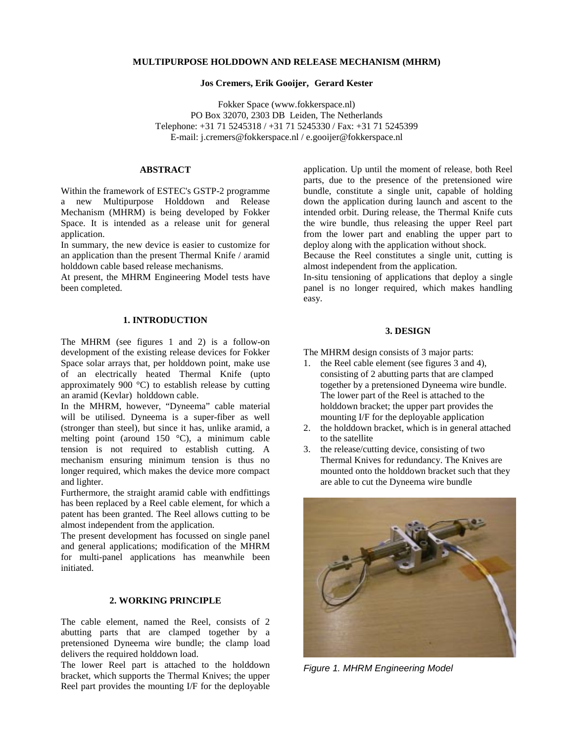## **MULTIPURPOSE HOLDDOWN AND RELEASE MECHANISM (MHRM)**

#### **Jos Cremers, Erik Gooijer, Gerard Kester**

Fokker Space (www.fokkerspace.nl) PO Box 32070, 2303 DB Leiden, The Netherlands Telephone: +31 71 5245318 / +31 71 5245330 / Fax: +31 71 5245399 E-mail: j.cremers@fokkerspace.nl / e.gooijer@fokkerspace.nl

## **ABSTRACT**

Within the framework of ESTEC's GSTP-2 programme a new Multipurpose Holddown and Release Mechanism (MHRM) is being developed by Fokker Space. It is intended as a release unit for general application.

In summary, the new device is easier to customize for an application than the present Thermal Knife / aramid holddown cable based release mechanisms.

At present, the MHRM Engineering Model tests have been completed.

## **1. INTRODUCTION**

The MHRM (see figures 1 and 2) is a follow-on development of the existing release devices for Fokker Space solar arrays that, per holddown point, make use of an electrically heated Thermal Knife (upto approximately 900 °C) to establish release by cutting an aramid (Kevlar) holddown cable.

In the MHRM, however, "Dyneema" cable material will be utilised. Dyneema is a super-fiber as well (stronger than steel), but since it has, unlike aramid, a melting point (around 150 °C), a minimum cable tension is not required to establish cutting. A mechanism ensuring minimum tension is thus no longer required, which makes the device more compact and lighter.

Furthermore, the straight aramid cable with endfittings has been replaced by a Reel cable element, for which a patent has been granted. The Reel allows cutting to be almost independent from the application.

The present development has focussed on single panel and general applications; modification of the MHRM for multi-panel applications has meanwhile been initiated.

#### **2. WORKING PRINCIPLE**

The cable element, named the Reel, consists of 2 abutting parts that are clamped together by a pretensioned Dyneema wire bundle; the clamp load delivers the required holddown load.

The lower Reel part is attached to the holddown bracket, which supports the Thermal Knives; the upper Reel part provides the mounting I/F for the deployable

application. Up until the moment of release, both Reel parts, due to the presence of the pretensioned wire bundle, constitute a single unit, capable of holding down the application during launch and ascent to the intended orbit. During release, the Thermal Knife cuts the wire bundle, thus releasing the upper Reel part from the lower part and enabling the upper part to deploy along with the application without shock.

Because the Reel constitutes a single unit, cutting is almost independent from the application.

In-situ tensioning of applications that deploy a single panel is no longer required, which makes handling easy.

#### **3. DESIGN**

The MHRM design consists of 3 major parts:

- 1. the Reel cable element (see figures 3 and 4), consisting of 2 abutting parts that are clamped together by a pretensioned Dyneema wire bundle. The lower part of the Reel is attached to the holddown bracket; the upper part provides the mounting I/F for the deployable application
- 2. the holddown bracket, which is in general attached to the satellite
- 3. the release/cutting device, consisting of two Thermal Knives for redundancy. The Knives are mounted onto the holddown bracket such that they are able to cut the Dyneema wire bundle



Figure 1. MHRM Engineering Model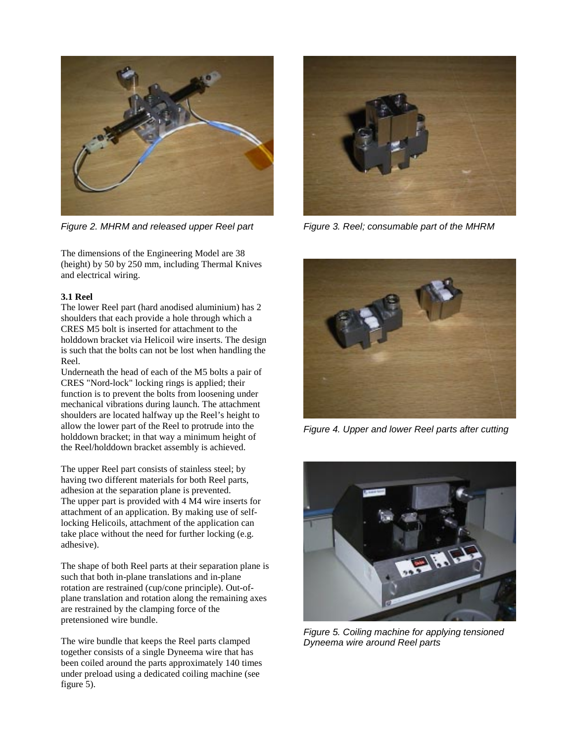

Figure 2. MHRM and released upper Reel part

The dimensions of the Engineering Model are 38 (height) by 50 by 250 mm, including Thermal Knives and electrical wiring.

### **3.1 Reel**

The lower Reel part (hard anodised aluminium) has 2 shoulders that each provide a hole through which a CRES M5 bolt is inserted for attachment to the holddown bracket via Helicoil wire inserts. The design is such that the bolts can not be lost when handling the Reel.

Underneath the head of each of the M5 bolts a pair of CRES "Nord-lock" locking rings is applied; their function is to prevent the bolts from loosening under mechanical vibrations during launch. The attachment shoulders are located halfway up the Reel's height to allow the lower part of the Reel to protrude into the holddown bracket; in that way a minimum height of the Reel/holddown bracket assembly is achieved.

The upper Reel part consists of stainless steel; by having two different materials for both Reel parts, adhesion at the separation plane is prevented. The upper part is provided with 4 M4 wire inserts for attachment of an application. By making use of selflocking Helicoils, attachment of the application can take place without the need for further locking (e.g. adhesive).

The shape of both Reel parts at their separation plane is such that both in-plane translations and in-plane rotation are restrained (cup/cone principle). Out-ofplane translation and rotation along the remaining axes are restrained by the clamping force of the pretensioned wire bundle.

The wire bundle that keeps the Reel parts clamped together consists of a single Dyneema wire that has been coiled around the parts approximately 140 times under preload using a dedicated coiling machine (see figure 5).



Figure 3. Reel; consumable part of the MHRM



Figure 4. Upper and lower Reel parts after cutting



Figure 5. Coiling machine for applying tensioned Dyneema wire around Reel parts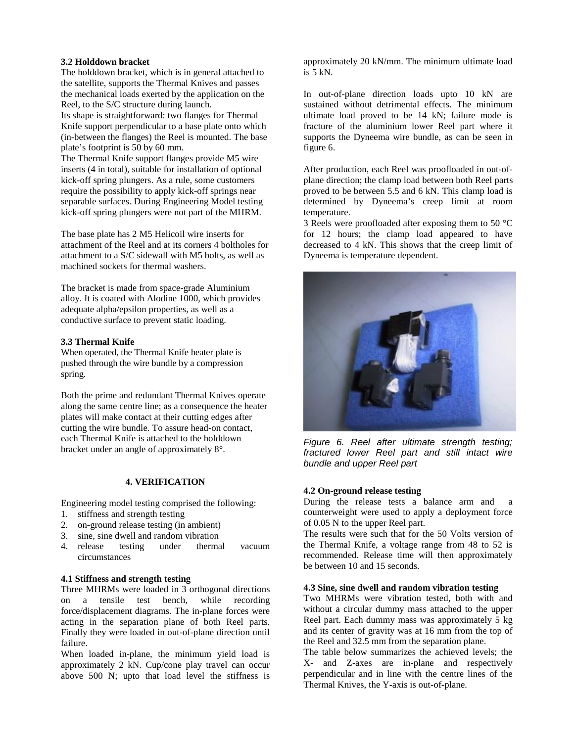## **3.2 Holddown bracket**

The holddown bracket, which is in general attached to the satellite, supports the Thermal Knives and passes the mechanical loads exerted by the application on the Reel, to the S/C structure during launch.

Its shape is straightforward: two flanges for Thermal Knife support perpendicular to a base plate onto which (in-between the flanges) the Reel is mounted. The base plate's footprint is 50 by 60 mm.

The Thermal Knife support flanges provide M5 wire inserts (4 in total), suitable for installation of optional kick-off spring plungers. As a rule, some customers require the possibility to apply kick-off springs near separable surfaces. During Engineering Model testing kick-off spring plungers were not part of the MHRM.

The base plate has 2 M5 Helicoil wire inserts for attachment of the Reel and at its corners 4 boltholes for attachment to a S/C sidewall with M5 bolts, as well as machined sockets for thermal washers.

The bracket is made from space-grade Aluminium alloy. It is coated with Alodine 1000, which provides adequate alpha/epsilon properties, as well as a conductive surface to prevent static loading.

## **3.3 Thermal Knife**

When operated, the Thermal Knife heater plate is pushed through the wire bundle by a compression spring.

Both the prime and redundant Thermal Knives operate along the same centre line; as a consequence the heater plates will make contact at their cutting edges after cutting the wire bundle. To assure head-on contact, each Thermal Knife is attached to the holddown bracket under an angle of approximately 8°.

# **4. VERIFICATION**

Engineering model testing comprised the following:

- 1. stiffness and strength testing
- 2. on-ground release testing (in ambient)
- 3. sine, sine dwell and random vibration
- 4. release testing under thermal vacuum circumstances

### **4.1 Stiffness and strength testing**

Three MHRMs were loaded in 3 orthogonal directions on a tensile test bench, while recording force/displacement diagrams. The in-plane forces were acting in the separation plane of both Reel parts. Finally they were loaded in out-of-plane direction until failure.

When loaded in-plane, the minimum yield load is approximately 2 kN. Cup/cone play travel can occur above 500 N; upto that load level the stiffness is

approximately 20 kN/mm. The minimum ultimate load  $is 5 kN.$ 

In out-of-plane direction loads upto 10 kN are sustained without detrimental effects. The minimum ultimate load proved to be 14 kN; failure mode is fracture of the aluminium lower Reel part where it supports the Dyneema wire bundle, as can be seen in figure 6.

After production, each Reel was proofloaded in out-ofplane direction; the clamp load between both Reel parts proved to be between 5.5 and 6 kN. This clamp load is determined by Dyneema's creep limit at room temperature.

3 Reels were proofloaded after exposing them to 50 °C for 12 hours; the clamp load appeared to have decreased to 4 kN. This shows that the creep limit of Dyneema is temperature dependent.



Figure 6. Reel after ultimate strength testing; fractured lower Reel part and still intact wire bundle and upper Reel part

### **4.2 On-ground release testing**

During the release tests a balance arm and a counterweight were used to apply a deployment force of 0.05 N to the upper Reel part.

The results were such that for the 50 Volts version of the Thermal Knife, a voltage range from 48 to 52 is recommended. Release time will then approximately be between 10 and 15 seconds.

## **4.3 Sine, sine dwell and random vibration testing**

Two MHRMs were vibration tested, both with and without a circular dummy mass attached to the upper Reel part. Each dummy mass was approximately 5 kg and its center of gravity was at 16 mm from the top of the Reel and 32.5 mm from the separation plane.

The table below summarizes the achieved levels; the X- and Z-axes are in-plane and respectively perpendicular and in line with the centre lines of the Thermal Knives, the Y-axis is out-of-plane.